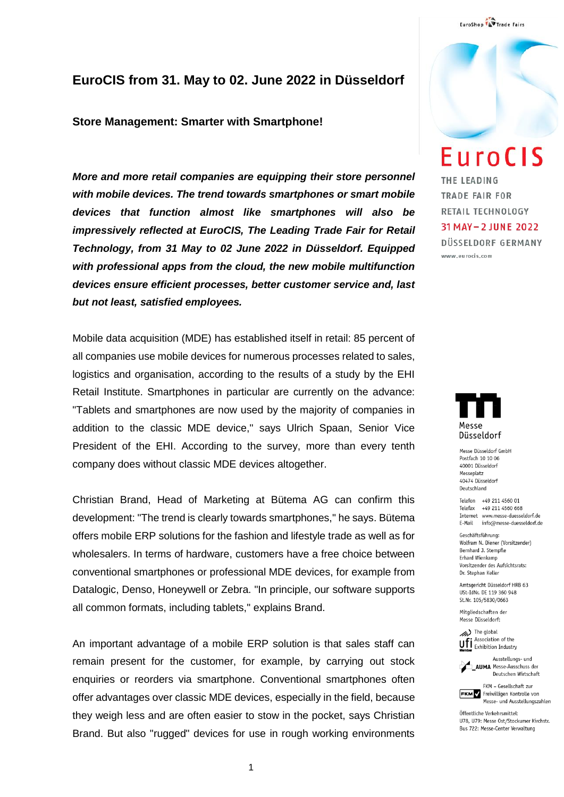### **EuroCIS from 31. May to 02. June 2022 in Düsseldorf**

#### **Store Management: Smarter with Smartphone!**

*More and more retail companies are equipping their store personnel with mobile devices. The trend towards smartphones or smart mobile devices that function almost like smartphones will also be impressively reflected at EuroCIS, The Leading Trade Fair for Retail Technology, from 31 May to 02 June 2022 in Düsseldorf. Equipped with professional apps from the cloud, the new mobile multifunction devices ensure efficient processes, better customer service and, last but not least, satisfied employees.*

Mobile data acquisition (MDE) has established itself in retail: 85 percent of all companies use mobile devices for numerous processes related to sales, logistics and organisation, according to the results of a study by the EHI Retail Institute. Smartphones in particular are currently on the advance: "Tablets and smartphones are now used by the majority of companies in addition to the classic MDE device," says Ulrich Spaan, Senior Vice President of the EHI. According to the survey, more than every tenth company does without classic MDE devices altogether.

Christian Brand, Head of Marketing at Bütema AG can confirm this development: "The trend is clearly towards smartphones," he says. Bütema offers mobile ERP solutions for the fashion and lifestyle trade as well as for wholesalers. In terms of hardware, customers have a free choice between conventional smartphones or professional MDE devices, for example from Datalogic, Denso, Honeywell or Zebra. "In principle, our software supports all common formats, including tablets," explains Brand.

An important advantage of a mobile ERP solution is that sales staff can remain present for the customer, for example, by carrying out stock enquiries or reorders via smartphone. Conventional smartphones often offer advantages over classic MDE devices, especially in the field, because they weigh less and are often easier to stow in the pocket, says Christian Brand. But also "rugged" devices for use in rough working environments

## **EuroCIS**

THE LEADING TRADE FAIR FOR RETAIL TECHNOLOGY 31 MAY - 2 JUNE 2022 DÜSSELDORF GERMANY

www.eurocis.com



Messe Düsseldorf GmbH Postfach 10 10 06 40001 Düsseldorf Messeplatz 40474 Düsseldorf Deutschland

Telefon +49 211 4560 01 Telefax +49 211 4560 668 Internet www.messe-duesseldorf.de E-Mail info@messe-duesseldorf.de

Geschäftsführung: Wolfram N. Diener (Vorsitzender) Bernhard J. Stempfle Erhard Wienkamp Vorsitzender des Aufsichtsrats: Dr. Stephan Keller

Amtsgericht Düsseldorf HRB 63 USt-IdNr. DE 119 360 948 St.Nr. 105/5830/0663

Mitgliedschaften der Messe Diisseldorf:

> The global Association of the **Unitary** Association of the<br>**Momber** Exhibition Industry



FKM - Gesellschaft zur **FKM** Freiwilligen Kontrolle von Messe- und Ausstellungszahlen

Öffentliche Verkehrsmittel: U78, U79: Messe Ost/Stockumer Kirchstr. Bus 722: Messe-Center Verwaltung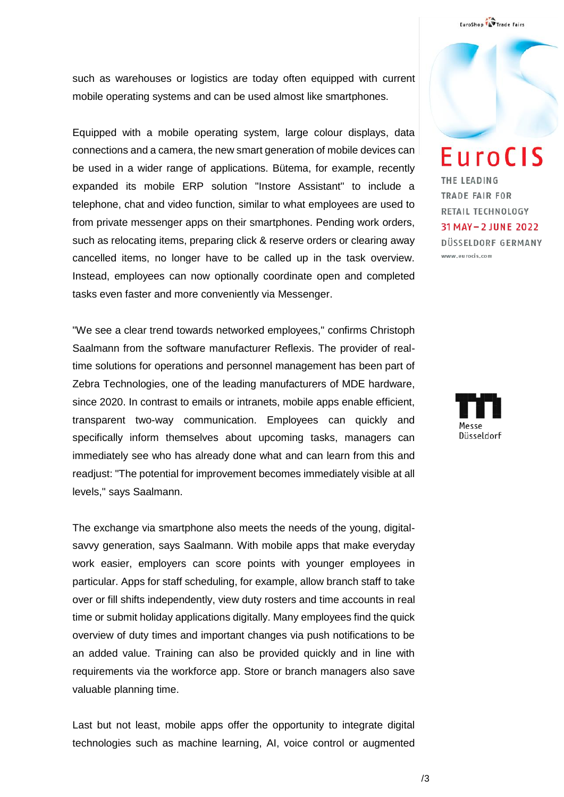such as warehouses or logistics are today often equipped with current mobile operating systems and can be used almost like smartphones.

Equipped with a mobile operating system, large colour displays, data connections and a camera, the new smart generation of mobile devices can be used in a wider range of applications. Bütema, for example, recently expanded its mobile ERP solution "Instore Assistant" to include a telephone, chat and video function, similar to what employees are used to from private messenger apps on their smartphones. Pending work orders, such as relocating items, preparing click & reserve orders or clearing away cancelled items, no longer have to be called up in the task overview. Instead, employees can now optionally coordinate open and completed tasks even faster and more conveniently via Messenger.

"We see a clear trend towards networked employees," confirms Christoph Saalmann from the software manufacturer Reflexis. The provider of realtime solutions for operations and personnel management has been part of Zebra Technologies, one of the leading manufacturers of MDE hardware, since 2020. In contrast to emails or intranets, mobile apps enable efficient, transparent two-way communication. Employees can quickly and specifically inform themselves about upcoming tasks, managers can immediately see who has already done what and can learn from this and readjust: "The potential for improvement becomes immediately visible at all levels," says Saalmann.

The exchange via smartphone also meets the needs of the young, digitalsavvy generation, says Saalmann. With mobile apps that make everyday work easier, employers can score points with younger employees in particular. Apps for staff scheduling, for example, allow branch staff to take over or fill shifts independently, view duty rosters and time accounts in real time or submit holiday applications digitally. Many employees find the quick overview of duty times and important changes via push notifications to be an added value. Training can also be provided quickly and in line with requirements via the workforce app. Store or branch managers also save valuable planning time.

Last but not least, mobile apps offer the opportunity to integrate digital technologies such as machine learning, AI, voice control or augmented EuroCIS THE LEADING TRADE FAIR FOR RETAIL TECHNOLOGY 31 MAY - 2 JUNE 2022 DÜSSELDORF GERMANY www.eurocis.com